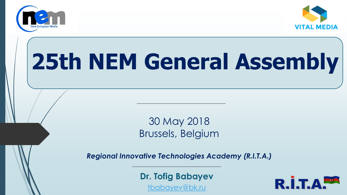



# **25th NEM General Assembly**

30 May 2018 Brussels, Belgium

*Regional Innovative Technologies Academy (R.I.T.A.)*

**Dr. Tofig Babayev**

[tbabayev@bk.ru](mailto:tbabayev@bk.ru) 

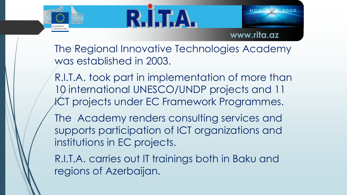

ommissio



**www.rita.az**

The Regional Innovative Technologies Academy was established in 2003.

R.I.T.A. took part in implementation of more than 10 international UNESCO/UNDP projects and 11 ICT projects under EC Framework Programmes.

The Academy renders consulting services and supports participation of ICT organizations and institutions in EC projects.

R.I.T.A. carries out IT trainings both in Baku and regions of Azerbaijan.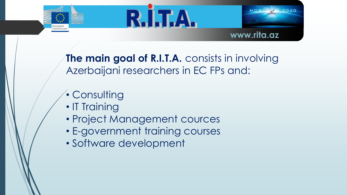





**The main goal of R.I.T.A.** consists in involving Azerbaijani researchers in EC FPs and:

- Consulting
- IT Training
- Project Management cources
- E-government training courses
- Software development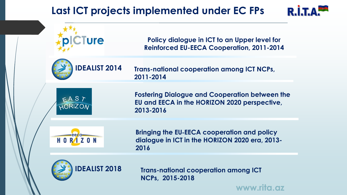#### **Last ICT projects implemented under EC FPs**





**www.rita.az**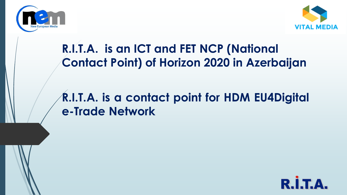



### **R.I.T.A. is an ICT and FET NCP (National Contact Point) of Horizon 2020 in Azerbaijan**

#### **R.I.T.A. is a contact point for HDM EU4Digital e-Trade Network**

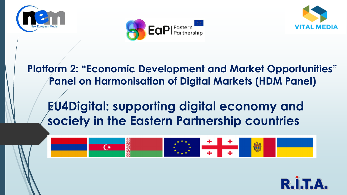





**Platform 2: "Economic Development and Market Opportunities" Panel on Harmonisation of Digital Markets (HDM Panel)**

## **EU4Digital: supporting digital economy and society in the Eastern Partnership countries**



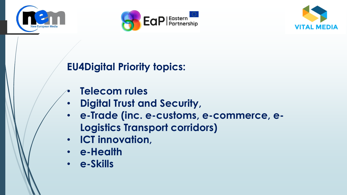





#### **EU4Digital Priority topics:**

- **Telecom rules**
- **Digital Trust and Security,**
- **e-Trade (inc. e-customs, e-commerce, e-Logistics Transport corridors)**
- **ICT innovation,**
- **e-Health**
- **e-Skills**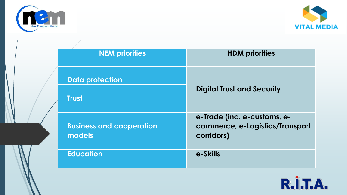



| <b>NEM priorities</b>                     | <b>HDM</b> priorities                                                        |
|-------------------------------------------|------------------------------------------------------------------------------|
| <b>Data protection</b><br><b>Trust</b>    | <b>Digital Trust and Security</b>                                            |
| <b>Business and cooperation</b><br>models | e-Trade (inc. e-customs, e-<br>commerce, e-Logistics/Transport<br>corridors) |
| <b>Education</b>                          | e-Skills                                                                     |

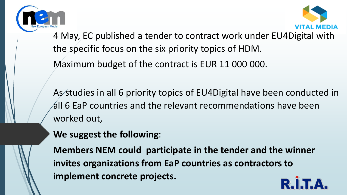



4 May, EC published a tender to contract work under EU4Digital with the specific focus on the six priority topics of HDM.

Maximum budget of the contract is EUR 11 000 000.

As studies in all 6 priority topics of EU4Digital have been conducted in all 6 EaP countries and the relevant recommendations have been worked out,

**We suggest the following**:

**Members NEM could participate in the tender and the winner invites organizations from EaP countries as contractors to implement concrete projects.**